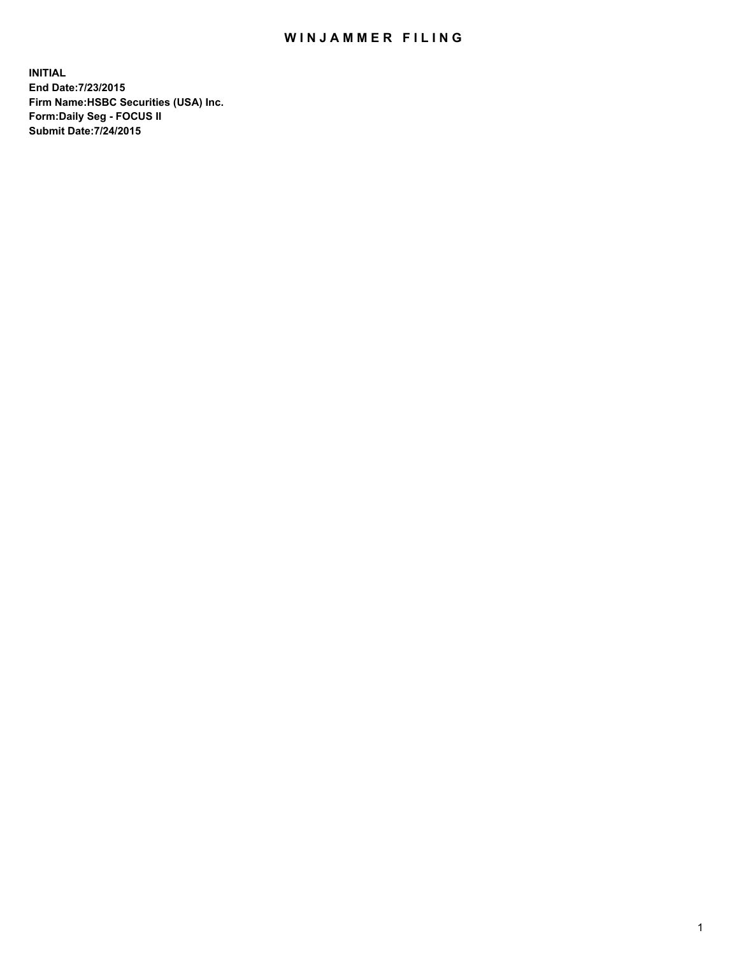## WIN JAMMER FILING

**INITIAL End Date:7/23/2015 Firm Name:HSBC Securities (USA) Inc. Form:Daily Seg - FOCUS II Submit Date:7/24/2015**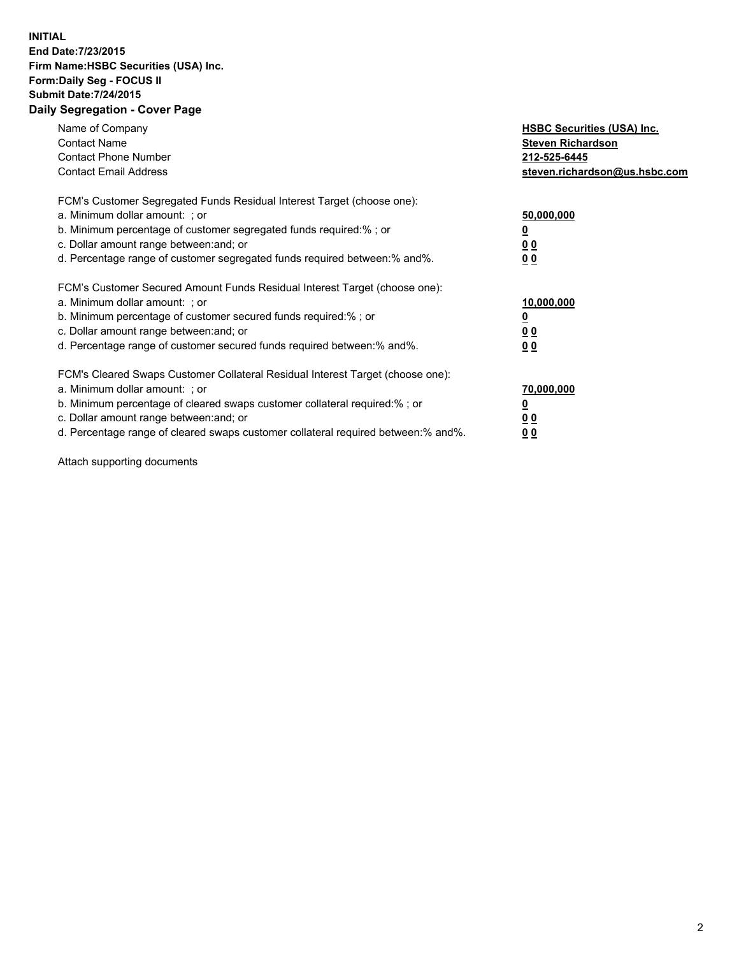## **INITIAL End Date:7/23/2015 Firm Name:HSBC Securities (USA) Inc. Form:Daily Seg - FOCUS II Submit Date:7/24/2015 Daily Segregation - Cover Page**

| Name of Company<br><b>Contact Name</b><br><b>Contact Phone Number</b><br><b>Contact Email Address</b>                                                                                                                                                                                                                         | <b>HSBC Securities (USA) Inc.</b><br><b>Steven Richardson</b><br>212-525-6445<br>steven.richardson@us.hsbc.com |
|-------------------------------------------------------------------------------------------------------------------------------------------------------------------------------------------------------------------------------------------------------------------------------------------------------------------------------|----------------------------------------------------------------------------------------------------------------|
| FCM's Customer Segregated Funds Residual Interest Target (choose one):<br>a. Minimum dollar amount: ; or<br>b. Minimum percentage of customer segregated funds required:% ; or<br>c. Dollar amount range between: and; or<br>d. Percentage range of customer segregated funds required between: % and %.                      | 50,000,000<br>0 <sub>0</sub><br>0 <sub>0</sub>                                                                 |
| FCM's Customer Secured Amount Funds Residual Interest Target (choose one):<br>a. Minimum dollar amount: ; or<br>b. Minimum percentage of customer secured funds required:%; or<br>c. Dollar amount range between: and; or<br>d. Percentage range of customer secured funds required between:% and%.                           | 10,000,000<br>0 <sub>0</sub><br>00                                                                             |
| FCM's Cleared Swaps Customer Collateral Residual Interest Target (choose one):<br>a. Minimum dollar amount: ; or<br>b. Minimum percentage of cleared swaps customer collateral required:%; or<br>c. Dollar amount range between: and; or<br>d. Percentage range of cleared swaps customer collateral required between:% and%. | 70,000,000<br>0 <sub>0</sub><br>00                                                                             |

Attach supporting documents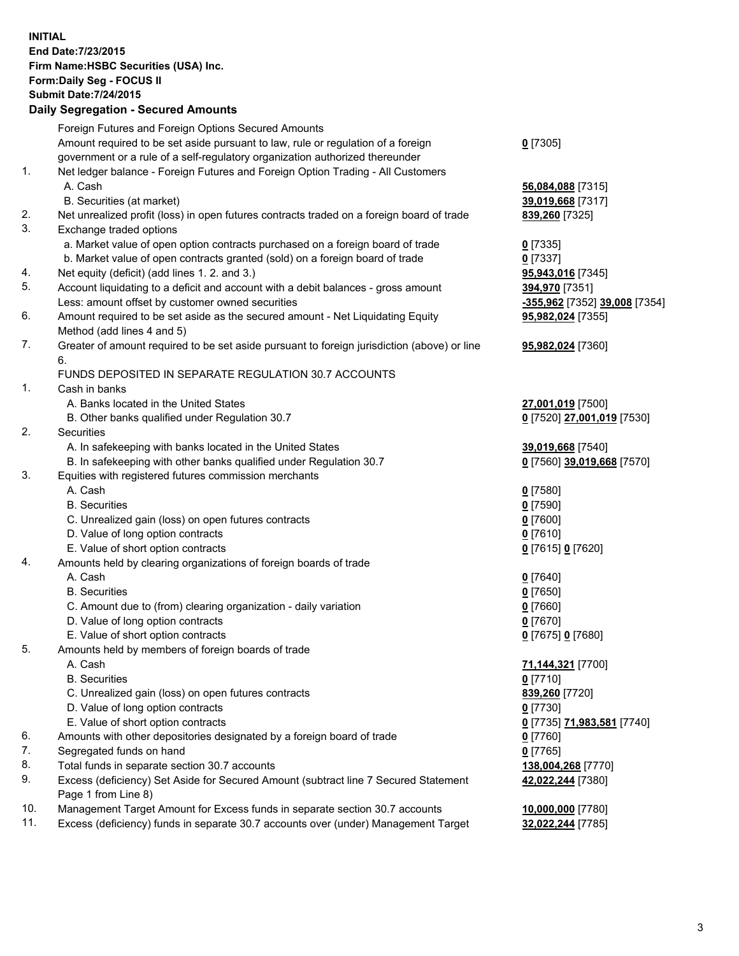**INITIAL End Date:7/23/2015 Firm Name:HSBC Securities (USA) Inc. Form:Daily Seg - FOCUS II Submit Date:7/24/2015 Daily Segregation - Secured Amounts**

Foreign Futures and Foreign Options Secured Amounts Amount required to be set aside pursuant to law, rule or regulation of a foreign government or a rule of a self-regulatory organization authorized thereunder **0** [7305] 1. Net ledger balance - Foreign Futures and Foreign Option Trading - All Customers A. Cash **56,084,088** [7315] B. Securities (at market) **39,019,668** [7317] 2. Net unrealized profit (loss) in open futures contracts traded on a foreign board of trade **839,260** [7325] 3. Exchange traded options a. Market value of open option contracts purchased on a foreign board of trade **0** [7335] b. Market value of open contracts granted (sold) on a foreign board of trade **0** [7337] 4. Net equity (deficit) (add lines 1. 2. and 3.) **95,943,016** [7345] 5. Account liquidating to a deficit and account with a debit balances - gross amount **394,970** [7351] Less: amount offset by customer owned securities **-355,962** [7352] **39,008** [7354] 6. Amount required to be set aside as the secured amount - Net Liquidating Equity Method (add lines 4 and 5) **95,982,024** [7355] 7. Greater of amount required to be set aside pursuant to foreign jurisdiction (above) or line 6. **95,982,024** [7360] FUNDS DEPOSITED IN SEPARATE REGULATION 30.7 ACCOUNTS 1. Cash in banks A. Banks located in the United States **27,001,019** [7500] B. Other banks qualified under Regulation 30.7 **0** [7520] **27,001,019** [7530] 2. Securities A. In safekeeping with banks located in the United States **39,019,668** [7540] B. In safekeeping with other banks qualified under Regulation 30.7 **0** [7560] **39,019,668** [7570] 3. Equities with registered futures commission merchants A. Cash **0** [7580] B. Securities **0** [7590] C. Unrealized gain (loss) on open futures contracts **0** [7600] D. Value of long option contracts **0** [7610] E. Value of short option contracts **0** [7615] **0** [7620] 4. Amounts held by clearing organizations of foreign boards of trade A. Cash **0** [7640] B. Securities **0** [7650] C. Amount due to (from) clearing organization - daily variation **0** [7660] D. Value of long option contracts **0** [7670] E. Value of short option contracts **0** [7675] **0** [7680] 5. Amounts held by members of foreign boards of trade A. Cash **71,144,321** [7700] B. Securities **0** [7710] C. Unrealized gain (loss) on open futures contracts **839,260** [7720] D. Value of long option contracts **0** [7730] E. Value of short option contracts **0** [7735] **71,983,581** [7740] 6. Amounts with other depositories designated by a foreign board of trade **0** [7760] 7. Segregated funds on hand **0** [7765] 8. Total funds in separate section 30.7 accounts **138,004,268** [7770] 9. Excess (deficiency) Set Aside for Secured Amount (subtract line 7 Secured Statement Page 1 from Line 8) **42,022,244** [7380] 10. Management Target Amount for Excess funds in separate section 30.7 accounts **10,000,000** [7780] 11. Excess (deficiency) funds in separate 30.7 accounts over (under) Management Target **32,022,244** [7785]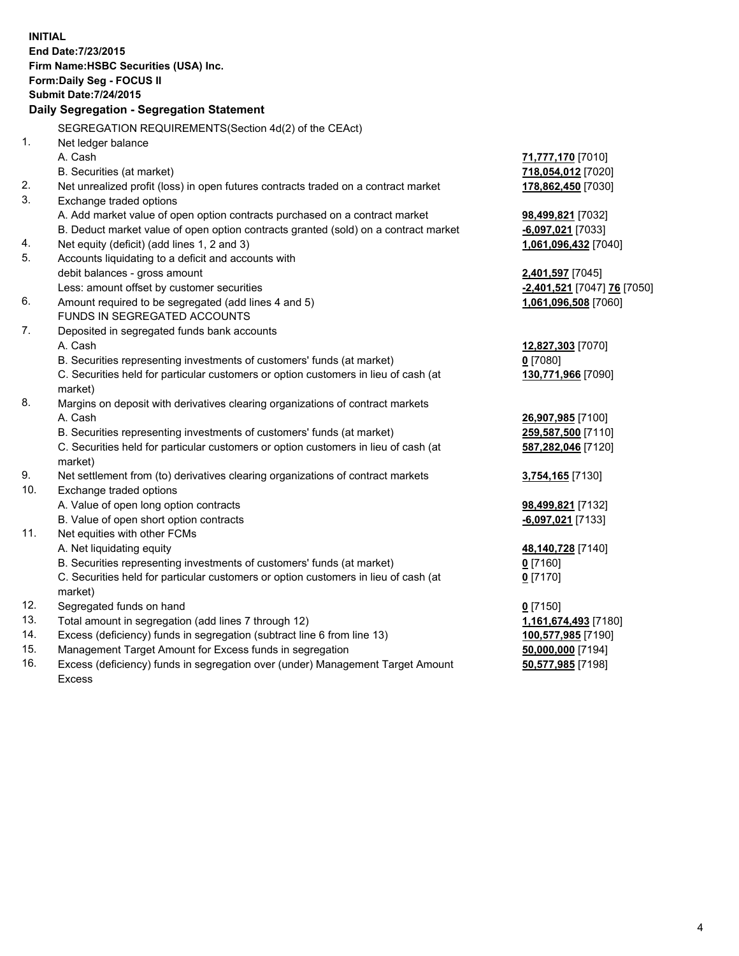**INITIAL End Date:7/23/2015 Firm Name:HSBC Securities (USA) Inc. Form:Daily Seg - FOCUS II Submit Date:7/24/2015 Daily Segregation - Segregation Statement** SEGREGATION REQUIREMENTS(Section 4d(2) of the CEAct) 1. Net ledger balance A. Cash **71,777,170** [7010] B. Securities (at market) **718,054,012** [7020] 2. Net unrealized profit (loss) in open futures contracts traded on a contract market **178,862,450** [7030] 3. Exchange traded options A. Add market value of open option contracts purchased on a contract market **98,499,821** [7032] B. Deduct market value of open option contracts granted (sold) on a contract market **-6,097,021** [7033] 4. Net equity (deficit) (add lines 1, 2 and 3) **1,061,096,432** [7040] 5. Accounts liquidating to a deficit and accounts with debit balances - gross amount **2,401,597** [7045] Less: amount offset by customer securities **-2,401,521** [7047] **76** [7050] 6. Amount required to be segregated (add lines 4 and 5) **1,061,096,508** [7060] FUNDS IN SEGREGATED ACCOUNTS 7. Deposited in segregated funds bank accounts A. Cash **12,827,303** [7070] B. Securities representing investments of customers' funds (at market) **0** [7080] C. Securities held for particular customers or option customers in lieu of cash (at market) **130,771,966** [7090] 8. Margins on deposit with derivatives clearing organizations of contract markets A. Cash **26,907,985** [7100] B. Securities representing investments of customers' funds (at market) **259,587,500** [7110] C. Securities held for particular customers or option customers in lieu of cash (at market) **587,282,046** [7120] 9. Net settlement from (to) derivatives clearing organizations of contract markets **3,754,165** [7130] 10. Exchange traded options A. Value of open long option contracts **98,499,821** [7132] B. Value of open short option contracts **-6,097,021** [7133] 11. Net equities with other FCMs A. Net liquidating equity **48,140,728** [7140] B. Securities representing investments of customers' funds (at market) **0** [7160] C. Securities held for particular customers or option customers in lieu of cash (at market) **0** [7170] 12. Segregated funds on hand **0** [7150] 13. Total amount in segregation (add lines 7 through 12) **1,161,674,493** [7180] 14. Excess (deficiency) funds in segregation (subtract line 6 from line 13) **100,577,985** [7190] 15. Management Target Amount for Excess funds in segregation **50,000,000** [7194]

16. Excess (deficiency) funds in segregation over (under) Management Target Amount Excess

**50,577,985** [7198]